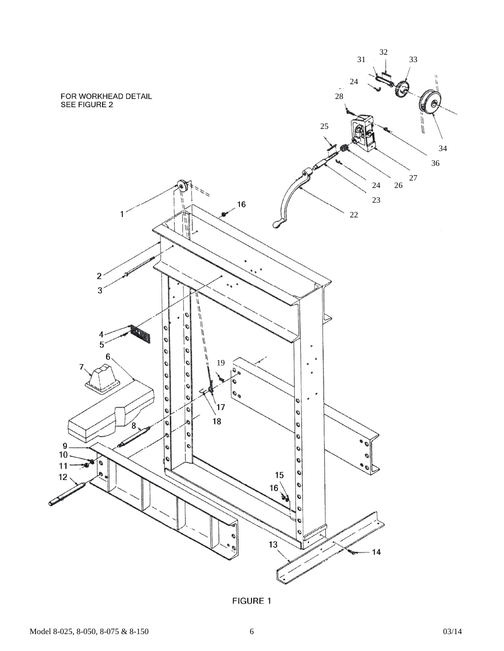

**FIGURE 1**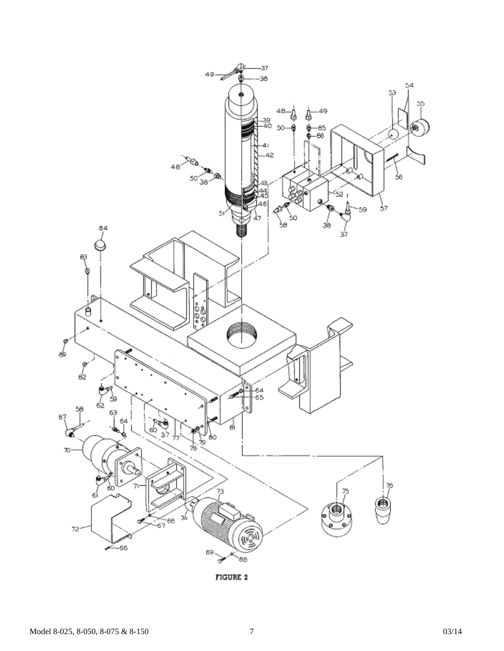

FIGURE 2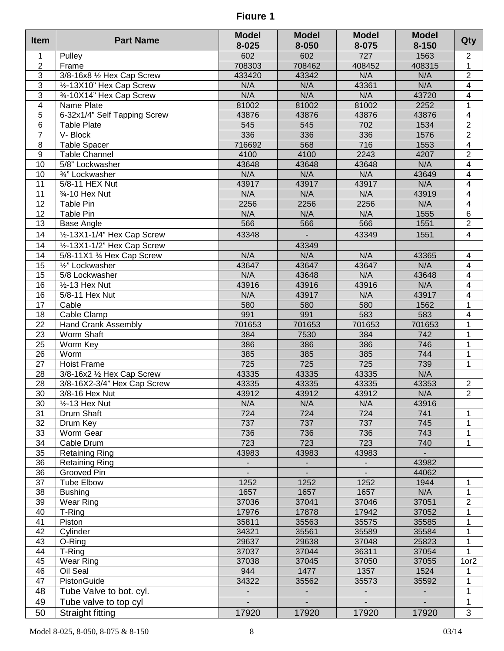**Figure 1**

| <b>Item</b>     | <b>Part Name</b>                      | <b>Model</b>             | <b>Model</b> | <b>Model</b>   | <b>Model</b>   | Qty                     |
|-----------------|---------------------------------------|--------------------------|--------------|----------------|----------------|-------------------------|
|                 |                                       | 8-025                    | 8-050        | 8-075          | $8 - 150$      |                         |
| $\mathbf 1$     | Pulley                                | 602                      | 602          | 727            | 1563           | $\overline{c}$          |
| $\overline{2}$  | Frame                                 | 708303                   | 708462       | 408452         | 408315         | $\overline{1}$          |
| $\overline{3}$  | 3/8-16x8 1/2 Hex Cap Screw            | 433420                   | 43342        | N/A            | N/A            | $\overline{2}$          |
| $\overline{3}$  | 1/2-13X10" Hex Cap Screw              | N/A                      | N/A          | 43361          | N/A            | $\overline{4}$          |
| $\overline{3}$  | 3⁄4-10X14" Hex Cap Screw              | N/A                      | N/A          | N/A            | 43720          | $\overline{4}$          |
| $\overline{4}$  | Name Plate                            | 81002                    | 81002        | 81002          | 2252           | $\mathbf{1}$            |
| $\overline{5}$  | 6-32x1/4" Self Tapping Screw          | 43876                    | 43876        | 43876          | 43876          | $\overline{4}$          |
| $\,6$           | <b>Table Plate</b>                    | 545                      | 545          | 702            | 1534           | $\overline{2}$          |
| $\overline{7}$  | V-Block                               | 336                      | 336          | 336            | 1576           | $\overline{2}$          |
| 8               | <b>Table Spacer</b>                   | 716692                   | 568          | 716            | 1553           | $\overline{4}$          |
| $\overline{9}$  | <b>Table Channel</b>                  | 4100                     | 4100         | 2243           | 4207           | $\overline{2}$          |
| 10              | 5/8" Lockwasher                       | 43648                    | 43648        | 43648          | N/A            | $\overline{4}$          |
| 10              | 3/4" Lockwasher                       | N/A                      | N/A          | N/A            | 43649          | $\overline{4}$          |
| 11              | 5/8-11 HEX Nut                        | 43917                    | 43917        | 43917          | N/A            | $\overline{4}$          |
| 11              | 3/4-10 Hex Nut                        | N/A                      | N/A          | N/A            | 43919          | $\overline{4}$          |
| 12              | Table Pin                             | 2256                     | 2256         | 2256           | N/A            | $\overline{4}$          |
| $\overline{12}$ | <b>Table Pin</b>                      | N/A                      | N/A          | N/A            | 1555           | $\overline{6}$          |
| 13              | Base Angle                            | 566                      | 566          | 566            | 1551           | $\overline{2}$          |
| 14              | 1/2-13X1-1/4" Hex Cap Screw           | 43348                    |              | 43349          | 1551           | $\overline{4}$          |
| 14              | 1/2-13X1-1/2" Hex Cap Screw           |                          | 43349        |                |                |                         |
| 14              | 5/8-11X1 3⁄4 Hex Cap Screw            | N/A                      | N/A          | N/A            | 43365          | $\overline{4}$          |
| 15              | $\overline{\frac{1}{2}}$ " Lockwasher | 43647                    | 43647        | 43647          | N/A            | $\overline{4}$          |
| 15              | 5/8 Lockwasher                        | N/A                      | 43648        | N/A            | 43648          | $\overline{4}$          |
| 16              | $1/2 - 13$ Hex Nut                    | 43916                    | 43916        | 43916          | N/A            | $\overline{4}$          |
| 16              | 5/8-11 Hex Nut                        | N/A                      | 43917        | N/A            | 43917          | $\overline{4}$          |
| 17              | Cable                                 | 580                      | 580          | 580            | 1562           | $\mathbf 1$             |
| 18              | Cable Clamp                           | 991                      | 991          | 583            | 583            | $\overline{4}$          |
| $\overline{22}$ | <b>Hand Crank Assembly</b>            | 701653                   | 701653       | 701653         | 701653         | $\mathbf 1$             |
| 23              | Worm Shaft                            | 384                      | 7530         | 384            | 742            | 1                       |
| 25              | Worm Key                              | 386                      | 386          | 386            | 746            | $\mathbf 1$             |
| $\overline{26}$ | Worm                                  | 385                      | 385          | 385            | 744            | $\mathbf 1$             |
| $\overline{27}$ | <b>Hoist Frame</b>                    | 725                      | 725          | 725            | 739            | $\mathbf 1$             |
| 28              | 3/8-16x2 1/2 Hex Cap Screw            | 43335                    | 43335        | 43335          | N/A            |                         |
| 28              | 3/8-16X2-3/4" Hex Cap Screw           | 43335                    | 43335        | 43335          | 43353          | $\overline{\mathbf{c}}$ |
| $\overline{30}$ | 3/8-16 Hex Nut                        | 43912                    | 43912        | 43912          | N/A            | $\overline{2}$          |
| 30              | $1/2 - 13$ Hex Nut                    | N/A                      | N/A          | N/A            | 43916          |                         |
| 31              | Drum Shaft                            | 724                      | 724          | 724            | 741            | 1                       |
| 32              | Drum Key                              | 737                      | 737          | 737            | 745            | 1                       |
| 33              | Worm Gear                             | 736                      | 736          | 736            | 743            | $\mathbf{1}$            |
| 34              | Cable Drum                            | 723                      | 723          | 723            | 740            | $\mathbf{1}$            |
| 35              | <b>Retaining Ring</b>                 | 43983                    | 43983        | 43983          |                |                         |
| 36              | <b>Retaining Ring</b>                 | $\blacksquare$           |              | $\blacksquare$ | 43982          |                         |
| 36              | Grooved Pin                           | $\overline{\phantom{a}}$ |              | $\blacksquare$ | 44062          |                         |
| 37              | <b>Tube Elbow</b>                     | 1252                     | 1252         | 1252           | 1944           | 1                       |
| 38              | <b>Bushing</b>                        | 1657                     | 1657         | 1657           | N/A            | 1                       |
|                 |                                       |                          | 37041        | 37046          | 37051          | $\overline{c}$          |
| 39              | Wear Ring                             | 37036<br>17976           | 17878        | 17942          |                | $\mathbf{1}$            |
| 40              | T-Ring                                |                          |              |                | 37052          |                         |
| 41              | Piston                                | 35811                    | 35563        | 35575          | 35585          | 1                       |
| 42              | Cylinder                              | 34321                    | 35561        | 35589          | 35584          | 1                       |
| 43              | O-Ring                                | 29637                    | 29638        | 37048          | 25823          | 1                       |
| 44              | $\overline{T}$ -Ring                  | 37037                    | 37044        | 36311          | 37054          | 1                       |
| 45              | Wear Ring                             | 37038                    | 37045        | 37050          | 37055          | 1or <sub>2</sub>        |
| 46              | Oil Seal                              | 944                      | 1477         | 1357           | 1524           | 1                       |
| 47              | PistonGuide                           | 34322                    | 35562        | 35573          | 35592          | $\mathbf{1}$            |
| 48              | Tube Valve to bot. cyl.               |                          |              |                | $\blacksquare$ | 1                       |
| 49              | Tube valve to top cyl                 |                          |              |                | $\blacksquare$ | 1                       |
| 50              | Straight fitting                      | 17920                    | 17920        | 17920          | 17920          | 3                       |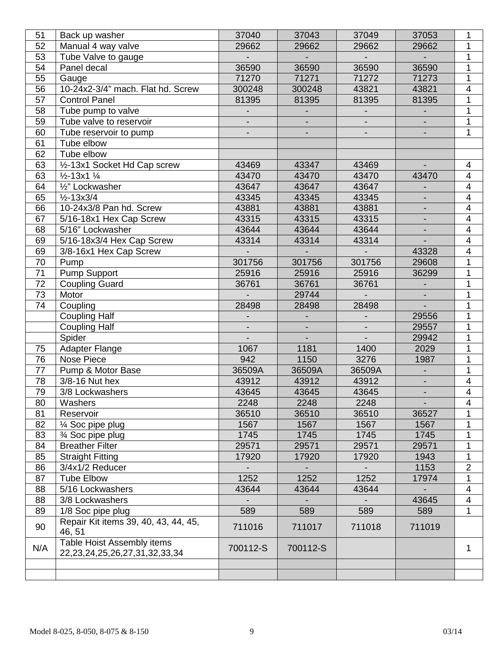| 51              | Back up washer                                                       | 37040          | 37043          | 37049                    | 37053                    | 1                        |
|-----------------|----------------------------------------------------------------------|----------------|----------------|--------------------------|--------------------------|--------------------------|
| 52              | Manual 4 way valve                                                   | 29662          | 29662          | 29662                    | 29662                    | 1                        |
| 53              | Tube Valve to gauge                                                  |                |                |                          |                          | 1                        |
| 54              | Panel decal                                                          | 36590          | 36590          | 36590                    | 36590                    | 1                        |
| 55              | Gauge                                                                | 71270          | 71271          | 71272                    | 71273                    | 1                        |
| 56              | 10-24x2-3/4" mach. Flat hd. Screw                                    | 300248         | 300248         | 43821                    | 43821                    | $\overline{\mathbf{4}}$  |
| 57              | <b>Control Panel</b>                                                 | 81395          | 81395          | 81395                    | 81395                    | $\overline{1}$           |
| 58              | Tube pump to valve                                                   |                |                |                          |                          | 1                        |
| 59              | Tube valve to reservoir                                              |                |                |                          |                          | 1                        |
| 60              | Tube reservoir to pump                                               |                |                |                          |                          | 1                        |
| 61              | Tube elbow                                                           |                |                |                          |                          |                          |
| 62              | Tube elbow                                                           |                |                |                          |                          |                          |
| 63              | 1/2-13x1 Socket Hd Cap screw                                         | 43469          | 43347          | 43469                    |                          | 4                        |
| 63              | $\frac{1}{2}$ -13x1 $\frac{1}{4}$                                    | 43470          | 43470          | 43470                    | 43470                    | $\overline{\mathcal{A}}$ |
| 64              | 1/2" Lockwasher                                                      | 43647          | 43647          | 43647                    |                          | $\overline{\mathbf{4}}$  |
| 65              | $\frac{1}{2} - 13 \times 3/4$                                        | 43345          | 43345          | 43345                    | $\overline{\phantom{a}}$ | $\overline{4}$           |
| 66              | 10-24x3/8 Pan hd. Screw                                              | 43881          | 43881          | 43881                    | $\blacksquare$           | $\overline{4}$           |
| 67              | 5/16-18x1 Hex Cap Screw                                              | 43315          | 43315          | 43315                    | $\overline{\phantom{a}}$ | $\overline{\mathbf{4}}$  |
| 68              | 5/16" Lockwasher                                                     | 43644          | 43644          | 43644                    | $\overline{\phantom{a}}$ | $\overline{\mathbf{4}}$  |
| 69              | 5/16-18x3/4 Hex Cap Screw                                            | 43314          | 43314          | 43314                    |                          | $\overline{\mathcal{A}}$ |
| 69              | 3/8-16x1 Hex Cap Screw                                               |                |                |                          | 43328                    | $\overline{\mathbf{4}}$  |
| 70              | Pump                                                                 | 301756         | 301756         | 301756                   | 29608                    | 1                        |
| 71              | Pump Support                                                         | 25916          | 25916          | 25916                    | 36299                    | 1                        |
| 72              | <b>Coupling Guard</b>                                                | 36761          | 36761          | 36761                    |                          | 1                        |
| 73              | Motor                                                                |                | 29744          |                          |                          | 1                        |
| 74              | Coupling                                                             | 28498          | 28498          | 28498                    |                          | 1                        |
|                 | <b>Coupling Half</b>                                                 |                |                |                          | 29556                    | 1                        |
|                 | Coupling Half                                                        | $\blacksquare$ | $\blacksquare$ | $\overline{\phantom{a}}$ | 29557                    | 1                        |
|                 | Spider                                                               |                |                | $\overline{\phantom{0}}$ | 29942                    | 1                        |
| 75              | <b>Adapter Flange</b>                                                | 1067           | 1181           | 1400                     | 2029                     | 1                        |
| 76              | Nose Piece                                                           | 942            | 1150           | 3276                     | 1987                     | 1                        |
| 77              | Pump & Motor Base                                                    | 36509A         | 36509A         | 36509A                   | $\blacksquare$           | 1                        |
| 78              | 3/8-16 Nut hex                                                       | 43912          | 43912          | 43912                    | $\overline{\phantom{a}}$ | $\overline{\mathbf{4}}$  |
| $\overline{79}$ | 3/8 Lockwashers                                                      | 43645          | 43645          | 43645                    | $\blacksquare$           | $\overline{4}$           |
| 80              | Washers                                                              | 2248           | 2248           | 2248                     |                          | 4                        |
| 81              | Reservoir                                                            | 36510          | 36510          | 36510                    | 36527                    |                          |
| 82              | $\frac{1}{4}$ Soc pipe plug                                          | 1567           | 1567           | 1567                     | 1567                     | 1                        |
| 83              |                                                                      | 1745           | 1745           | 1745                     | 1745                     | 1                        |
| 84              | 3⁄4 Soc pipe plug<br><b>Breather Filter</b>                          | 29571          | 29571          | 29571                    | 29571                    | 1                        |
| 85              | <b>Straight Fitting</b>                                              | 17920          | 17920          | 17920                    | 1943                     | 1                        |
| 86              | 3/4x1/2 Reducer                                                      |                |                |                          | 1153                     | $\overline{2}$           |
| 87              | <b>Tube Elbow</b>                                                    | 1252           | 1252           | 1252                     | 17974                    | $\mathbf 1$              |
| 88              | 5/16 Lockwashers                                                     | 43644          | 43644          | 43644                    |                          | 4                        |
| 88              | 3/8 Lockwashers                                                      |                |                |                          | 43645                    | $\overline{\mathbf{4}}$  |
| 89              | 1/8 Soc pipe plug                                                    | 589            | 589            | 589                      | 589                      | $\mathbf{1}$             |
|                 | Repair Kit items 39, 40, 43, 44, 45,                                 |                |                |                          |                          |                          |
| 90              | 46, 51                                                               | 711016         | 711017         | 711018                   | 711019                   |                          |
| N/A             | Table Hoist Assembly items<br>22, 23, 24, 25, 26, 27, 31, 32, 33, 34 | 700112-S       | 700112-S       |                          |                          | 1                        |
|                 |                                                                      |                |                |                          |                          |                          |
|                 |                                                                      |                |                |                          |                          |                          |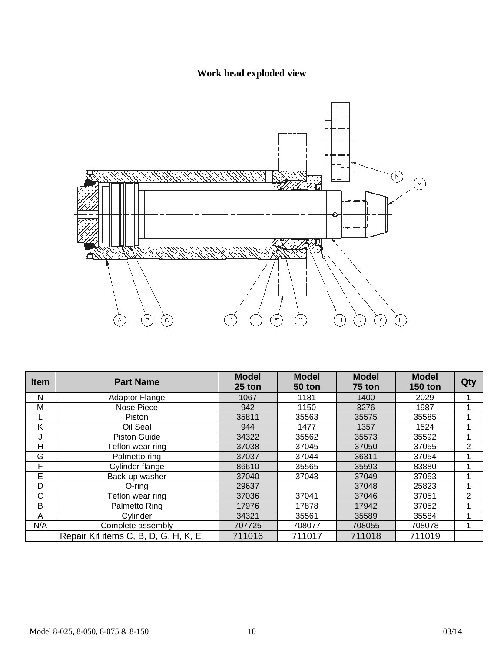## **Work head exploded view**



| <b>Item</b> | <b>Part Name</b>                     | <b>Model</b><br>25 ton | <b>Model</b><br>50 ton | <b>Model</b><br>75 ton | <b>Model</b><br><b>150 ton</b> | Qty            |
|-------------|--------------------------------------|------------------------|------------------------|------------------------|--------------------------------|----------------|
| N           | <b>Adaptor Flange</b>                | 1067                   | 1181                   | 1400                   | 2029                           |                |
| M           | Nose Piece                           | 942                    | 1150                   | 3276                   | 1987                           |                |
|             | Piston                               | 35811                  | 35563                  | 35575                  | 35585                          |                |
| K           | Oil Seal                             | 944                    | 1477                   | 1357                   | 1524                           |                |
| J           | <b>Piston Guide</b>                  | 34322                  | 35562                  | 35573                  | 35592                          |                |
| н           | Teflon wear ring                     | 37038                  | 37045                  | 37050                  | 37055                          | $\overline{2}$ |
| G           | Palmetto ring                        | 37037                  | 37044                  | 36311                  | 37054                          |                |
| F           | Cylinder flange                      | 86610                  | 35565                  | 35593                  | 83880                          |                |
| E           | Back-up washer                       | 37040                  | 37043                  | 37049                  | 37053                          |                |
| D           | $O$ -ring                            | 29637                  |                        | 37048                  | 25823                          |                |
| C           | Teflon wear ring                     | 37036                  | 37041                  | 37046                  | 37051                          | 2              |
| B           | Palmetto Ring                        | 17976                  | 17878                  | 17942                  | 37052                          |                |
| A           | Cylinder                             | 34321                  | 35561                  | 35589                  | 35584                          |                |
| N/A         | Complete assembly                    | 707725                 | 708077                 | 708055                 | 708078                         |                |
|             | Repair Kit items C, B, D, G, H, K, E | 711016                 | 711017                 | 711018                 | 711019                         |                |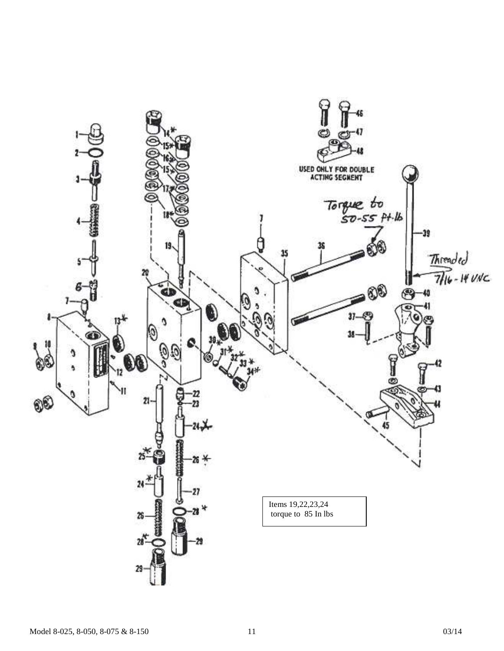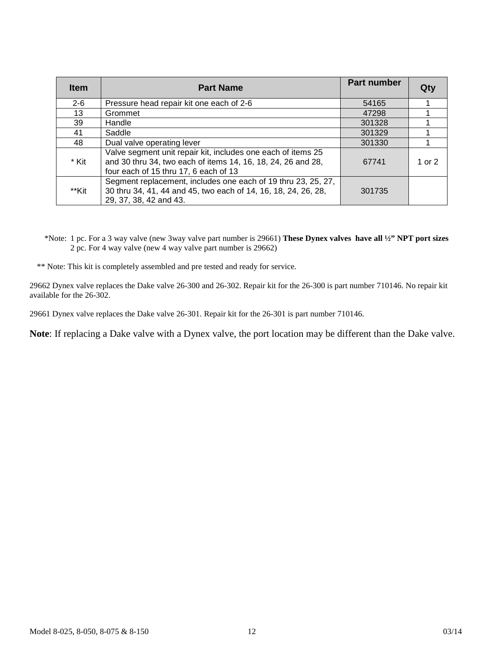| <b>Item</b> | <b>Part Name</b>                                                                                                                                                      | <b>Part number</b> |        |
|-------------|-----------------------------------------------------------------------------------------------------------------------------------------------------------------------|--------------------|--------|
| $2 - 6$     | Pressure head repair kit one each of 2-6                                                                                                                              | 54165              |        |
| 13          | Grommet                                                                                                                                                               | 47298              |        |
| 39          | Handle                                                                                                                                                                | 301328             |        |
| 41          | Saddle                                                                                                                                                                | 301329             |        |
| 48          | Dual valve operating lever                                                                                                                                            | 301330             |        |
| * Kit       | Valve segment unit repair kit, includes one each of items 25<br>and 30 thru 34, two each of items 14, 16, 18, 24, 26 and 28,<br>four each of 15 thru 17, 6 each of 13 | 67741              | 1 or 2 |
| **Kit       | Segment replacement, includes one each of 19 thru 23, 25, 27,<br>30 thru 34, 41, 44 and 45, two each of 14, 16, 18, 24, 26, 28,<br>29, 37, 38, 42 and 43.             | 301735             |        |

\*Note: 1 pc. For a 3 way valve (new 3way valve part number is 29661) **These Dynex valves have all ½" NPT port sizes** 2 pc. For 4 way valve (new 4 way valve part number is 29662)

\*\* Note: This kit is completely assembled and pre tested and ready for service.

29662 Dynex valve replaces the Dake valve 26-300 and 26-302. Repair kit for the 26-300 is part number 710146. No repair kit available for the 26-302.

29661 Dynex valve replaces the Dake valve 26-301. Repair kit for the 26-301 is part number 710146.

**Note**: If replacing a Dake valve with a Dynex valve, the port location may be different than the Dake valve.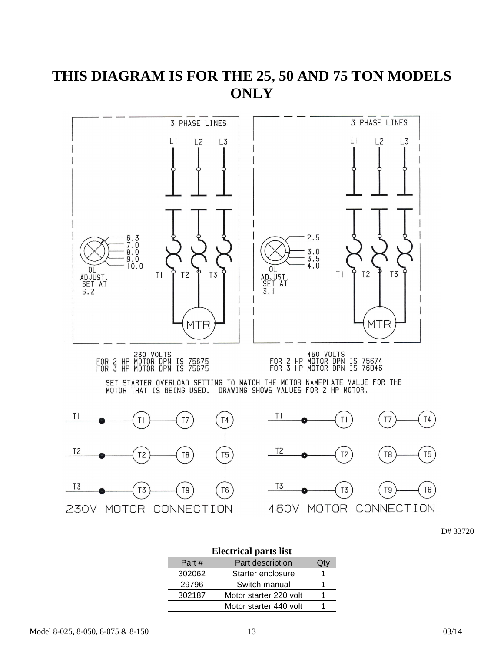## **THIS DIAGRAM IS FOR THE 25, 50 AND 75 TON MODELS ONLY**



D# 33720

## **Electrical parts list**  Part # | Part description | Qty 302062 | Starter enclosure | 1 29796 | Switch manual | 1 302187 | Motor starter 220 volt | 1 Motor starter 440 volt  $\vert$  1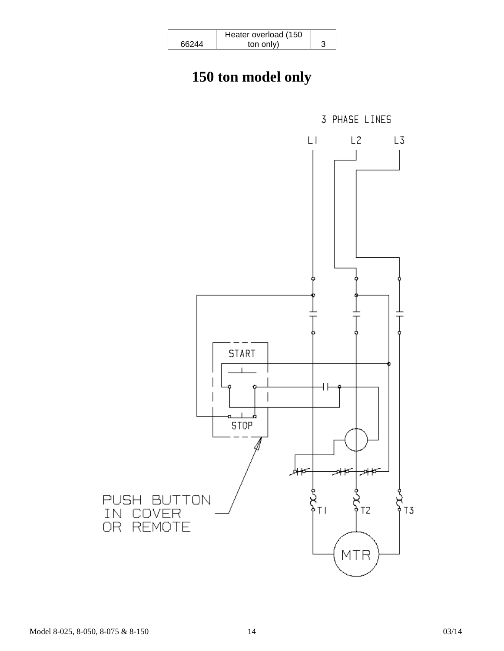|       | Heater overload (150 |  |
|-------|----------------------|--|
| 66244 | ton only)            |  |

## **150 ton model only**